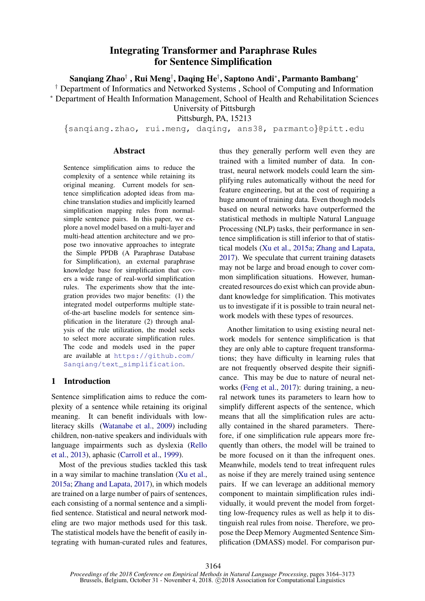# Integrating Transformer and Paraphrase Rules for Sentence Simplification

Sanqiang Zhao† , Rui Meng† , Daqing He† , Saptono Andi<sup>∗</sup> , Parmanto Bambang<sup>∗</sup>

<span id="page-0-0"></span>† Department of Informatics and Networked Systems , School of Computing and Information

<sup>∗</sup> Department of Health Information Management, School of Health and Rehabilitation Sciences

University of Pittsburgh

Pittsburgh, PA, 15213

{sanqiang.zhao, rui.meng, daqing, ans38, parmanto}@pitt.edu

#### Abstract

Sentence simplification aims to reduce the complexity of a sentence while retaining its original meaning. Current models for sentence simplification adopted ideas from machine translation studies and implicitly learned simplification mapping rules from normalsimple sentence pairs. In this paper, we explore a novel model based on a multi-layer and multi-head attention architecture and we propose two innovative approaches to integrate the Simple PPDB (A Paraphrase Database for Simplification), an external paraphrase knowledge base for simplification that covers a wide range of real-world simplification rules. The experiments show that the integration provides two major benefits: (1) the integrated model outperforms multiple stateof-the-art baseline models for sentence simplification in the literature (2) through analysis of the rule utilization, the model seeks to select more accurate simplification rules. The code and models used in the paper are available at [https://github.com/](https://github.com/Sanqiang/text_simplification) [Sanqiang/text\\_simplification](https://github.com/Sanqiang/text_simplification).

# 1 Introduction

Sentence simplification aims to reduce the complexity of a sentence while retaining its original meaning. It can benefit individuals with lowliteracy skills [\(Watanabe et al.,](#page-8-0) [2009\)](#page-8-0) including children, non-native speakers and individuals with language impairments such as dyslexia [\(Rello](#page-8-1) [et al.,](#page-8-1) [2013\)](#page-8-1), aphasic [\(Carroll et al.,](#page-8-2) [1999\)](#page-8-2).

Most of the previous studies tackled this task in a way similar to machine translation [\(Xu et al.,](#page-9-0) [2015a;](#page-9-0) [Zhang and Lapata,](#page-9-1) [2017\)](#page-9-1), in which models are trained on a large number of pairs of sentences, each consisting of a normal sentence and a simplified sentence. Statistical and neural network modeling are two major methods used for this task. The statistical models have the benefit of easily integrating with human-curated rules and features, thus they generally perform well even they are trained with a limited number of data. In contrast, neural network models could learn the simplifying rules automatically without the need for feature engineering, but at the cost of requiring a huge amount of training data. Even though models based on neural networks have outperformed the statistical methods in multiple Natural Language Processing (NLP) tasks, their performance in sentence simplification is still inferior to that of statistical models [\(Xu et al.,](#page-9-0) [2015a;](#page-9-0) [Zhang and Lapata,](#page-9-1) [2017\)](#page-9-1). We speculate that current training datasets may not be large and broad enough to cover common simplification situations. However, humancreated resources do exist which can provide abundant knowledge for simplification. This motivates us to investigate if it is possible to train neural network models with these types of resources.

Another limitation to using existing neural network models for sentence simplification is that they are only able to capture frequent transformations; they have difficulty in learning rules that are not frequently observed despite their significance. This may be due to nature of neural networks [\(Feng et al.,](#page-8-3) [2017\)](#page-8-3): during training, a neural network tunes its parameters to learn how to simplify different aspects of the sentence, which means that all the simplification rules are actually contained in the shared parameters. Therefore, if one simplification rule appears more frequently than others, the model will be trained to be more focused on it than the infrequent ones. Meanwhile, models tend to treat infrequent rules as noise if they are merely trained using sentence pairs. If we can leverage an additional memory component to maintain simplification rules individually, it would prevent the model from forgetting low-frequency rules as well as help it to distinguish real rules from noise. Therefore, we propose the Deep Memory Augmented Sentence Simplification (DMASS) model. For comparison pur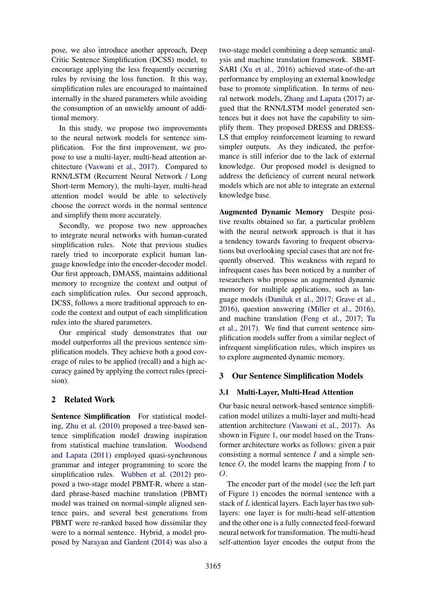pose, we also introduce another approach, Deep Critic Sentence Simplification (DCSS) model, to encourage applying the less frequently occurring rules by revising the loss function. It this way, simplification rules are encouraged to maintained internally in the shared parameters while avoiding the consumption of an unwieldy amount of additional memory.

In this study, we propose two improvements to the neural network models for sentence simplification. For the first improvement, we propose to use a multi-layer, multi-head attention architecture [\(Vaswani et al.,](#page-8-4) [2017\)](#page-8-4). Compared to RNN/LSTM (Recurrent Neural Network / Long Short-term Memory), the multi-layer, multi-head attention model would be able to selectively choose the correct words in the normal sentence and simplify them more accurately.

Secondly, we propose two new approaches to integrate neural networks with human-curated simplification rules. Note that previous studies rarely tried to incorporate explicit human language knowledge into the encoder-decoder model. Our first approach, DMASS, maintains additional memory to recognize the context and output of each simplification rules. Our second approach, DCSS, follows a more traditional approach to encode the context and output of each simplification rules into the shared parameters.

Our empirical study demonstrates that our model outperforms all the previous sentence simplification models. They achieve both a good coverage of rules to be applied (recall) and a high accuracy gained by applying the correct rules (precision).

# 2 Related Work

Sentence Simplification For statistical modeling, [Zhu et al.](#page-9-2) [\(2010\)](#page-9-2) proposed a tree-based sentence simplification model drawing inspiration from statistical machine translation. [Woodsend](#page-8-5) [and Lapata](#page-8-5) [\(2011\)](#page-8-5) employed quasi-synchronous grammar and integer programming to score the simplification rules. [Wubben et al.](#page-9-3) [\(2012\)](#page-9-3) proposed a two-stage model PBMT-R, where a standard phrase-based machine translation (PBMT) model was trained on normal-simple aligned sentence pairs, and several best generations from PBMT were re-ranked based how dissimilar they were to a normal sentence. Hybrid, a model proposed by [Narayan and Gardent](#page-8-6) [\(2014\)](#page-8-6) was also a

two-stage model combining a deep semantic analysis and machine translation framework. SBMT-SARI [\(Xu et al.,](#page-9-4) [2016\)](#page-9-4) achieved state-of-the-art performance by employing an external knowledge base to promote simplification. In terms of neural network models, [Zhang and Lapata](#page-9-1) [\(2017\)](#page-9-1) argued that the RNN/LSTM model generated sentences but it does not have the capability to simplify them. They proposed DRESS and DRESS-LS that employ reinforcement learning to reward simpler outputs. As they indicated, the performance is still inferior due to the lack of external knowledge. Our proposed model is designed to address the deficiency of current neural network models which are not able to integrate an external knowledge base.

Augmented Dynamic Memory Despite positive results obtained so far, a particular problem with the neural network approach is that it has a tendency towards favoring to frequent observations but overlooking special cases that are not frequently observed. This weakness with regard to infrequent cases has been noticed by a number of researchers who propose an augmented dynamic memory for multiple applications, such as language models [\(Daniluk et al.,](#page-8-7) [2017;](#page-8-7) [Grave et al.,](#page-8-8) [2016\)](#page-8-8), question answering [\(Miller et al.,](#page-8-9) [2016\)](#page-8-9), and machine translation [\(Feng et al.,](#page-8-3) [2017;](#page-8-3) [Tu](#page-8-10) [et al.,](#page-8-10) [2017\)](#page-8-10). We find that current sentence simplification models suffer from a similar neglect of infrequent simplification rules, which inspires us to explore augmented dynamic memory.

# 3 Our Sentence Simplification Models

# 3.1 Multi-Layer, Multi-Head Attention

Our basic neural network-based sentence simplification model utilizes a multi-layer and multi-head attention architecture [\(Vaswani et al.,](#page-8-4) [2017\)](#page-8-4). As shown in Figure [1,](#page-2-0) our model based on the Transformer architecture works as follows: given a pair consisting a normal sentence  $I$  and a simple sentence  $O$ , the model learns the mapping from  $I$  to  $O<sub>1</sub>$ 

The encoder part of the model (see the left part of Figure [1\)](#page-2-0) encodes the normal sentence with a stack of L identical layers. Each layer has two sublayers: one layer is for multi-head self-attention and the other one is a fully connected feed-forward neural network for transformation. The multi-head self-attention layer encodes the output from the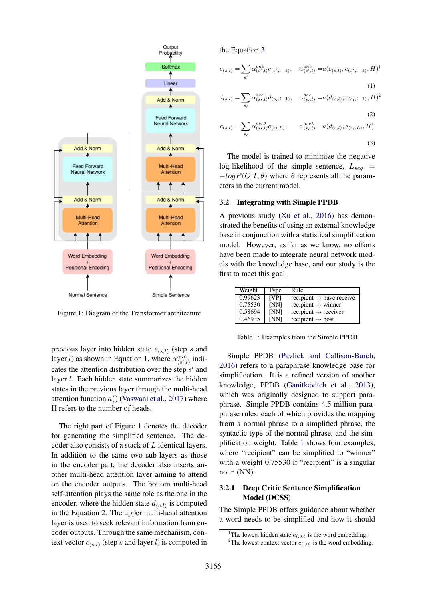

<span id="page-2-0"></span>Figure 1: Diagram of the Transformer architecture

previous layer into hidden state  $e_{(s,l)}$  (step s and layer *l*) as shown in Equation [1,](#page-2-1) where  $\alpha_{(s',l)}^{enc}$  indicates the attention distribution over the step  $s'$  and layer l. Each hidden state summarizes the hidden states in the previous layer through the multi-head attention function  $a()$  [\(Vaswani et al.,](#page-8-4) [2017\)](#page-8-4) where H refers to the number of heads.

The right part of Figure [1](#page-2-0) denotes the decoder for generating the simplified sentence. The decoder also consists of a stack of L identical layers. In addition to the same two sub-layers as those in the encoder part, the decoder also inserts another multi-head attention layer aiming to attend on the encoder outputs. The bottom multi-head self-attention plays the same role as the one in the encoder, where the hidden state  $d_{(s,l)}$  is computed in the Equation [2.](#page-2-2) The upper multi-head attention layer is used to seek relevant information from encoder outputs. Through the same mechanism, context vector  $c_{(s,l)}$  (step s and layer l) is computed in

the Equation [3.](#page-2-3)

$$
e_{(s,l)} = \sum_{s'} \alpha_{(s',l)}^{enc} e_{(s',l-1)}, \quad \alpha_{(s',l)}^{enc} = a(e_{(s,l)}, e_{(s',l-1)}, H)^{1}
$$
\n(1)

<span id="page-2-1"></span>
$$
d_{(s,l)} = \sum_{s} \alpha_{(s_l,l)}^{dec} d_{(s_l,l-1)}, \quad \alpha_{(s_l,l)}^{dec} = a(d_{(s,l)}, c_{(s_l,l-1)}, H)^2
$$

<span id="page-2-2"></span>(2)  
\n
$$
c_{(s,l)} = \sum_{s_l} \alpha_{(s_l,l)}^{dec2} e_{(s_l,L)}, \qquad \alpha_{(s_l,l)}^{dec2} = a(d_{(s,l)}, e_{(s_l,L)}, H)
$$
\n(3)

<span id="page-2-3"></span>The model is trained to minimize the negative log-likelihood of the simple sentence,  $L_{seq}$  =  $-\log P(O|I, \theta)$  where  $\theta$  represents all the parameters in the current model.

#### 3.2 Integrating with Simple PPDB

A previous study [\(Xu et al.,](#page-9-4) [2016\)](#page-9-4) has demonstrated the benefits of using an external knowledge base in conjunction with a statistical simplification model. However, as far as we know, no efforts have been made to integrate neural network models with the knowledge base, and our study is the first to meet this goal.

| Weight  | Type        | Rule                                 |
|---------|-------------|--------------------------------------|
| 0.99623 | [VP]        | recipient $\rightarrow$ have receive |
| 0.75530 | [NN]        | recipient $\rightarrow$ winner       |
| 0.58694 | [NN]        | $recipient \rightarrow receiver$     |
| 0.46935 | <b>INN1</b> | recipient $\rightarrow$ host         |

<span id="page-2-5"></span>Table 1: Examples from the Simple PPDB

Simple PPDB [\(Pavlick and Callison-Burch,](#page-8-11) [2016\)](#page-8-11) refers to a paraphrase knowledge base for simplification. It is a refined version of another knowledge, PPDB [\(Ganitkevitch et al.,](#page-8-12) [2013\)](#page-8-12), which was originally designed to support paraphrase. Simple PPDB contains 4.5 million paraphrase rules, each of which provides the mapping from a normal phrase to a simplified phrase, the syntactic type of the normal phrase, and the simplification weight. Table [1](#page-2-5) shows four examples, where "recipient" can be simplified to "winner" with a weight  $0.75530$  if "recipient" is a singular noun (NN).

# 3.2.1 Deep Critic Sentence Simplification Model (DCSS)

The Simple PPDB offers guidance about whether a word needs to be simplified and how it should

<span id="page-2-4"></span><sup>&</sup>lt;sup>1</sup>The lowest hidden state  $e_{(:,0)}$  is the word embedding.

<sup>&</sup>lt;sup>2</sup>The lowest context vector  $c_{(:,0)}$  is the word embedding.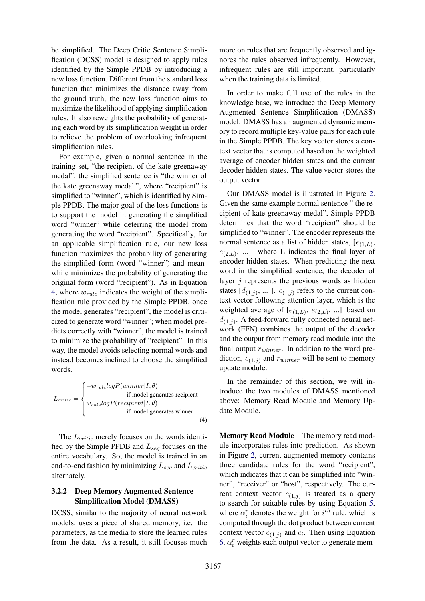be simplified. The Deep Critic Sentence Simplification (DCSS) model is designed to apply rules identified by the Simple PPDB by introducing a new loss function. Different from the standard loss function that minimizes the distance away from the ground truth, the new loss function aims to maximize the likelihood of applying simplification rules. It also reweights the probability of generating each word by its simplification weight in order to relieve the problem of overlooking infrequent simplification rules.

For example, given a normal sentence in the training set, "the recipient of the kate greenaway medal", the simplified sentence is "the winner of the kate greenaway medal.", where "recipient" is simplified to "winner", which is identified by Simple PPDB. The major goal of the loss functions is to support the model in generating the simplified word "winner" while deterring the model from generating the word "recipient". Specifically, for an applicable simplification rule, our new loss function maximizes the probability of generating the simplified form (word "winner") and meanwhile minimizes the probability of generating the original form (word "recipient"). As in Equation [4,](#page-3-0) where  $w_{rule}$  indicates the weight of the simplification rule provided by the Simple PPDB, once the model generates "recipient", the model is criticized to generate word "winner"; when model predicts correctly with "winner", the model is trained to minimize the probability of "recipient". In this way, the model avoids selecting normal words and instead becomes inclined to choose the simplified words.

 $L_{critic} =$  $\sqrt{ }$  $\int$  $\overline{\mathcal{L}}$  $-w_{rule}logP(winner|I, \theta)$ if model generates recipient  $w_{rule} log P(recipient|I,\theta)$ if model generates winner (4)

The  $L_{critic}$  merely focuses on the words identified by the Simple PPDB and  $L_{seq}$  focuses on the entire vocabulary. So, the model is trained in an end-to-end fashion by minimizing  $L_{sea}$  and  $L_{critic}$ alternately.

### 3.2.2 Deep Memory Augmented Sentence Simplification Model (DMASS)

DCSS, similar to the majority of neural network models, uses a piece of shared memory, i.e. the parameters, as the media to store the learned rules from the data. As a result, it still focuses much

more on rules that are frequently observed and ignores the rules observed infrequently. However, infrequent rules are still important, particularly when the training data is limited.

In order to make full use of the rules in the knowledge base, we introduce the Deep Memory Augmented Sentence Simplification (DMASS) model. DMASS has an augmented dynamic memory to record multiple key-value pairs for each rule in the Simple PPDB. The key vector stores a context vector that is computed based on the weighted average of encoder hidden states and the current decoder hidden states. The value vector stores the output vector.

Our DMASS model is illustrated in Figure [2.](#page-4-0) Given the same example normal sentence " the recipient of kate greenaway medal", Simple PPDB determines that the word "recipient" should be simplified to "winner". The encoder represents the normal sentence as a list of hidden states,  $[e_{(1,L)},$  $e_{(2,L)}$ , ...] where L indicates the final layer of encoder hidden states. When predicting the next word in the simplified sentence, the decoder of layer  $i$  represents the previous words as hidden states  $[d_{(1,j)}, \dots]$ .  $c_{(1,j)}$  refers to the current context vector following attention layer, which is the weighted average of  $[e_{(1,L)}, e_{(2,L)}, \ldots]$  based on  $d_{(1,j)}$ . A feed-forward fully connected neural network (FFN) combines the output of the decoder and the output from memory read module into the final output  $r_{winner}$ . In addition to the word prediction,  $c_{(1,j)}$  and  $r_{winner}$  will be sent to memory update module.

In the remainder of this section, we will introduce the two modules of DMASS mentioned above: Memory Read Module and Memory Update Module.

<span id="page-3-0"></span>Memory Read Module The memory read module incorporates rules into prediction. As shown in Figure [2,](#page-4-0) current augmented memory contains three candidate rules for the word "recipient", which indicates that it can be simplified into "winner", "receiver" or "host", respectively. The current context vector  $c_{(1,j)}$  is treated as a query to search for suitable rules by using Equation [5,](#page-4-1) where  $\alpha_i^r$  denotes the weight for  $i^{th}$  rule, which is computed through the dot product between current context vector  $c_{(1,j)}$  and  $c_i$ . Then using Equation [6,](#page-4-2)  $\alpha_i^r$  weights each output vector to generate mem-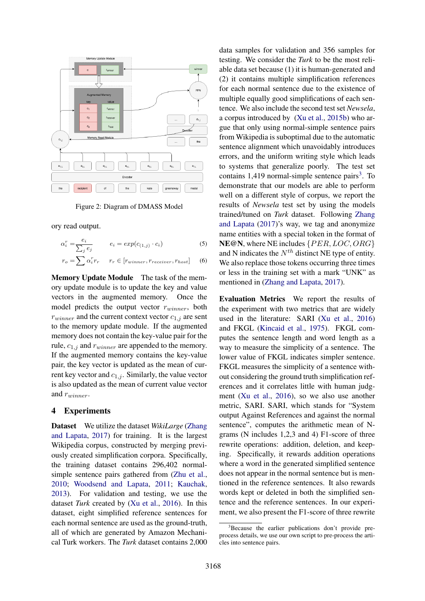

<span id="page-4-0"></span>Figure 2: Diagram of DMASS Model

ory read output.

$$
\alpha_i^r = \frac{e_i}{\sum_j e_j} \qquad e_i = exp(c_{(1,j)} \cdot c_i) \tag{5}
$$

$$
r_o = \sum \alpha_i^r r_r \quad r_r \in [r_{winner}, r_{receiver}, r_{host}] \quad (6)
$$

Memory Update Module The task of the memory update module is to update the key and value vectors in the augmented memory. Once the model predicts the output vector  $r_{winner}$ , both  $r_{winner}$  and the current context vector  $c_{1,j}$  are sent to the memory update module. If the augmented memory does not contain the key-value pair for the rule,  $c_{1,j}$  and  $r_{winner}$  are appended to the memory. If the augmented memory contains the key-value pair, the key vector is updated as the mean of current key vector and  $c_{1,j}$ . Similarly, the value vector is also updated as the mean of current value vector and  $r_{winner}$ .

# 4 Experiments

Dataset We utilize the dataset *WikiLarge* [\(Zhang](#page-9-1) [and Lapata,](#page-9-1) [2017\)](#page-9-1) for training. It is the largest Wikipedia corpus, constructed by merging previously created simplification corpora. Specifically, the training dataset contains 296,402 normalsimple sentence pairs gathered from [\(Zhu et al.,](#page-9-2) [2010;](#page-9-2) [Woodsend and Lapata,](#page-8-5) [2011;](#page-8-5) [Kauchak,](#page-8-13) [2013\)](#page-8-13). For validation and testing, we use the dataset *Turk* created by [\(Xu et al.,](#page-9-4) [2016\)](#page-9-4). In this dataset, eight simplified reference sentences for each normal sentence are used as the ground-truth, all of which are generated by Amazon Mechanical Turk workers. The *Turk* dataset contains 2,000 data samples for validation and 356 samples for testing. We consider the *Turk* to be the most reliable data set because (1) it is human-generated and (2) it contains multiple simplification references for each normal sentence due to the existence of multiple equally good simplifications of each sentence. We also include the second test set *Newsela*, a corpus introduced by [\(Xu et al.,](#page-9-5) [2015b\)](#page-9-5) who argue that only using normal-simple sentence pairs from Wikipedia is suboptimal due to the automatic sentence alignment which unavoidably introduces errors, and the uniform writing style which leads to systems that generalize poorly. The test set contains  $1,419$  normal-simple sentence pairs<sup>[3](#page-4-3)</sup>. To demonstrate that our models are able to perform well on a different style of corpus, we report the results of *Newsela* test set by using the models trained/tuned on *Turk* dataset. Following [Zhang](#page-9-1) [and Lapata](#page-9-1) [\(2017\)](#page-9-1)'s way, we tag and anonymize name entities with a special token in the format of NE@N, where NE includes  $\{PER, LOC, ORG\}$ and N indicates the  $N<sup>th</sup>$  distinct NE type of entity. We also replace those tokens occurring three times or less in the training set with a mark "UNK" as mentioned in [\(Zhang and Lapata,](#page-9-1) [2017\)](#page-9-1).

<span id="page-4-2"></span><span id="page-4-1"></span>Evaluation Metrics We report the results of the experiment with two metrics that are widely used in the literature: SARI [\(Xu et al.,](#page-9-4) [2016\)](#page-9-4) and FKGL [\(Kincaid et al.,](#page-8-14) [1975\)](#page-8-14). FKGL computes the sentence length and word length as a way to measure the simplicity of a sentence. The lower value of FKGL indicates simpler sentence. FKGL measures the simplicity of a sentence without considering the ground truth simplification references and it correlates little with human judgment [\(Xu et al.,](#page-9-4) [2016\)](#page-9-4), so we also use another metric, SARI. SARI, which stands for "System output Against References and against the normal sentence", computes the arithmetic mean of Ngrams (N includes 1,2,3 and 4) F1-score of three rewrite operations: addition, deletion, and keeping. Specifically, it rewards addition operations where a word in the generated simplified sentence does not appear in the normal sentence but is mentioned in the reference sentences. It also rewards words kept or deleted in both the simplified sentence and the reference sentences. In our experiment, we also present the F1-score of three rewrite

<span id="page-4-3"></span><sup>&</sup>lt;sup>3</sup>Because the earlier publications don't provide preprocess details, we use our own script to pre-process the articles into sentence pairs.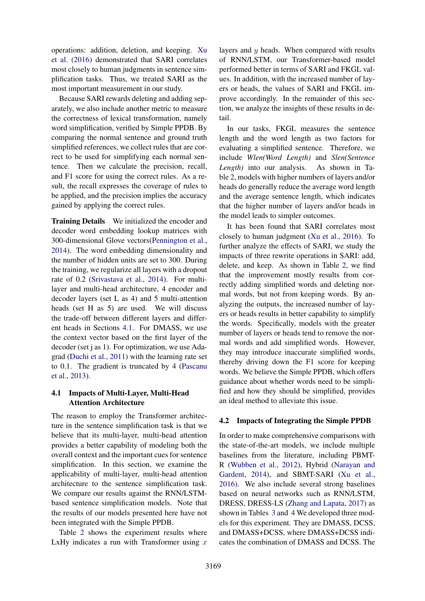operations: addition, deletion, and keeping. [Xu](#page-9-4) [et al.](#page-9-4) [\(2016\)](#page-9-4) demonstrated that SARI correlates most closely to human judgments in sentence simplification tasks. Thus, we treated SARI as the most important measurement in our study.

Because SARI rewards deleting and adding separately, we also include another metric to measure the correctness of lexical transformation, namely word simplification, verified by Simple PPDB. By comparing the normal sentence and ground truth simplified references, we collect rules that are correct to be used for simplifying each normal sentence. Then we calculate the precision, recall, and F1 score for using the correct rules. As a result, the recall expresses the coverage of rules to be applied, and the precision implies the accuracy gained by applying the correct rules.

Training Details We initialized the encoder and decoder word embedding lookup matrices with 300-dimensional Glove vectors[\(Pennington et al.,](#page-8-15) [2014\)](#page-8-15). The word embedding dimensionality and the number of hidden units are set to 300. During the training, we regularize all layers with a dropout rate of 0.2 [\(Srivastava et al.,](#page-8-16) [2014\)](#page-8-16). For multilayer and multi-head architecture, 4 encoder and decoder layers (set L as 4) and 5 multi-attention heads (set H as 5) are used. We will discuss the trade-off between different layers and different heads in Sections [4.1.](#page-5-0) For DMASS, we use the context vector based on the first layer of the decoder (set j as 1). For optimization, we use Adagrad [\(Duchi et al.,](#page-8-17) [2011\)](#page-8-17) with the learning rate set to 0.1. The gradient is truncated by 4 [\(Pascanu](#page-8-18) [et al.,](#page-8-18) [2013\)](#page-8-18).

# <span id="page-5-0"></span>4.1 Impacts of Multi-Layer, Multi-Head Attention Architecture

The reason to employ the Transformer architecture in the sentence simplification task is that we believe that its multi-layer, multi-head attention provides a better capability of modeling both the overall context and the important cues for sentence simplification. In this section, we examine the applicability of multi-layer, multi-head attention architecture to the sentence simplification task. We compare our results against the RNN/LSTMbased sentence simplification models. Note that the results of our models presented here have not been integrated with the Simple PPDB.

Table [2](#page-6-0) shows the experiment results where LxHy indicates a run with Transformer using  $x$ 

layers and  $y$  heads. When compared with results of RNN/LSTM, our Transformer-based model performed better in terms of SARI and FKGL values. In addition, with the increased number of layers or heads, the values of SARI and FKGL improve accordingly. In the remainder of this section, we analyze the insights of these results in detail.

In our tasks, FKGL measures the sentence length and the word length as two factors for evaluating a simplified sentence. Therefore, we include *Wlen(Word Length)* and *Slen(Sentence Length)* into our analysis. As shown in Table [2,](#page-6-0) models with higher numbers of layers and/or heads do generally reduce the average word length and the average sentence length, which indicates that the higher number of layers and/or heads in the model leads to simpler outcomes.

It has been found that SARI correlates most closely to human judgment [\(Xu et al.,](#page-9-4) [2016\)](#page-9-4). To further analyze the effects of SARI, we study the impacts of three rewrite operations in SARI: add, delete, and keep. As shown in Table [2,](#page-6-0) we find that the improvement mostly results from correctly adding simplified words and deleting normal words, but not from keeping words. By analyzing the outputs, the increased number of layers or heads results in better capability to simplify the words. Specifically, models with the greater number of layers or heads tend to remove the normal words and add simplified words. However, they may introduce inaccurate simplified words, thereby driving down the F1 score for keeping words. We believe the Simple PPDB, which offers guidance about whether words need to be simplified and how they should be simplified, provides an ideal method to alleviate this issue.

# 4.2 Impacts of Integrating the Simple PPDB

In order to make comprehensive comparisons with the state-of-the-art models, we include multiple baselines from the literature, including PBMT-R [\(Wubben et al.,](#page-9-3) [2012\)](#page-9-3), Hybrid [\(Narayan and](#page-8-6) [Gardent,](#page-8-6) [2014\)](#page-8-6), and SBMT-SARI [\(Xu et al.,](#page-9-4) [2016\)](#page-9-4). We also include several strong baselines based on neural networks such as RNN/LSTM, DRESS, DRESS-LS [\(Zhang and Lapata,](#page-9-1) [2017\)](#page-9-1) as shown in Tables [3](#page-6-1) and [4](#page-6-2) We developed three models for this experiment. They are DMASS, DCSS, and DMASS+DCSS, where DMASS+DCSS indicates the combination of DMASS and DCSS. The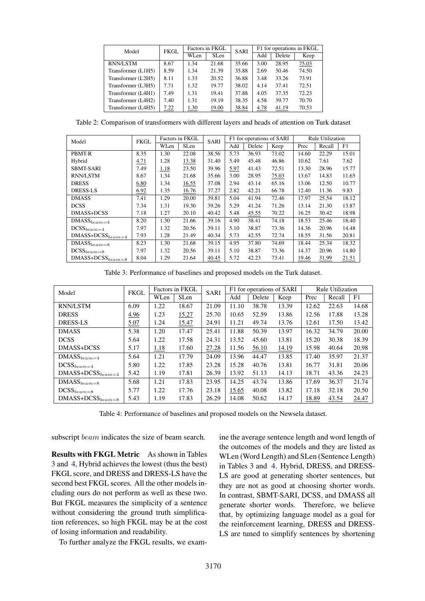| Model              | <b>FKGL</b> |      | Factors in FKGL | <b>SARI</b> |      | F1 for operations in FKGL |       |  |
|--------------------|-------------|------|-----------------|-------------|------|---------------------------|-------|--|
|                    |             | WLen | <b>SLen</b>     |             | Add  | Delete                    | Keep  |  |
| <b>RNN/LSTM</b>    | 8.67        | 1.34 | 21.68           | 35.66       | 3.00 | 28.95                     | 75.03 |  |
| Transformer (L1H5) | 8.59        | 1.34 | 21.39           | 35.88       | 2.69 | 30.46                     | 74.50 |  |
| Transformer (L2H5) | 8.11        | 1.33 | 20.52           | 36.88       | 3.48 | 33.26                     | 73.91 |  |
| Transformer (L3H5) | 7.71        | 1.32 | 19.77           | 38.02       | 4.14 | 37.41                     | 72.51 |  |
| Transformer (L4H1) | 7.49        | 1.31 | 19.41           | 37.88       | 4.05 | 37.35                     | 72.23 |  |
| Transformer (L4H2) | 7.40        | 1.31 | 19.19           | 38.35       | 4.58 | 39.77                     | 70.70 |  |
| Transformer (L4H5) | 7.22        | 1.30 | 19.00           | 38.84       | 4.78 | 41.19                     | 70.53 |  |

<span id="page-6-0"></span>Table 2: Comparison of transformers with different layers and heads of attention on Turk dataset

| Model                           | <b>FKGL</b> | Factors in FKGL |             | <b>SARI</b> | F1 for operations of SARI |        |       | <b>Rule Utilization</b> |        |       |
|---------------------------------|-------------|-----------------|-------------|-------------|---------------------------|--------|-------|-------------------------|--------|-------|
|                                 |             | WLen            | <b>SLen</b> |             | Add                       | Delete | Keep  | Prec                    | Recall | F1    |
| PBMT-R                          | 8.35        | 1.30            | 22.08       | 38.56       | 5.73                      | 36.93  | 73.02 | 14.60                   | 22.29  | 15.01 |
| Hybrid                          | 4.71        | 1.28            | 13.38       | 31.40       | 5.49                      | 45.48  | 46.86 | 10.62                   | 7.61   | 7.62  |
| <b>SBMT-SARI</b>                | 7.49        | 1.18            | 23.50       | 39.96       | 5.97                      | 41.43  | 72.51 | 13.30                   | 28.96  | 15.77 |
| <b>RNN/LSTM</b>                 | 8.67        | 1.34            | 21.68       | 35.66       | 3.00                      | 28.95  | 75.03 | 13.67                   | 14.83  | 11.65 |
| <b>DRESS</b>                    | 6.80        | 1.34            | 16.55       | 37.08       | 2.94                      | 43.14  | 65.16 | 13.06                   | 12.50  | 10.77 |
| <b>DRESS-LS</b>                 | 6.92        | 1.35            | 16.76       | 37.27       | 2.82                      | 42.21  | 66.78 | 12.40                   | 11.36  | 9.83  |
| <b>DMASS</b>                    | 7.41        | 1.29            | 20.00       | 39.81       | 5.04                      | 41.94  | 72.46 | 17.97                   | 25.54  | 18.12 |
| <b>DCSS</b>                     | 7.34        | 1.31            | 19.30       | 39.26       | 5.29                      | 41.24  | 71.26 | 13.14                   | 21.30  | 13.87 |
| DMASS+DCSS                      | 7.18        | 1.27            | 20.10       | 40.42       | 5.48                      | 45.55  | 70.22 | 16.25                   | 30.42  | 18.98 |
| $DMASS_{beam=4}$                | 8.20        | 1.30            | 21.66       | 39.16       | 4.90                      | 38.41  | 74.18 | 18.53                   | 25.46  | 18.40 |
| $DCSS_{beam=4}$                 | 7.97        | 1.32            | 20.56       | 39.11       | 5.10                      | 38.87  | 73.36 | 14.36                   | 20.96  | 14.48 |
| $DMASS + DCSS_{beam=4}$         | 7.93        | 1.28            | 21.49       | 40.34       | 5.73                      | 42.55  | 72.74 | 18.55                   | 31.56  | 20.81 |
| $\overline{\rm DMASS}_{beam=8}$ | 8.23        | 1.30            | 21.68       | 39.15       | 4.95                      | 37.80  | 74.69 | 18.44                   | 25.34  | 18.32 |
| $DCSS_{beam=8}$                 | 7.97        | 1.32            | 20.56       | 39.11       | 5.10                      | 38.87  | 73.36 | 14.37                   | 20.96  | 14.80 |
| $DMASS + DCSS_{beam = 8}$       | 8.04        | 1.29            | 21.64       | 40.45       | 5.72                      | 42.23  | 73.41 | 19.46                   | 31.99  | 21.51 |

<span id="page-6-1"></span>Table 3: Performance of baselines and proposed models on the Turk dataset.

| Model                     | <b>FKGL</b> | Factors in FKGL |             | <b>SARI</b> | F1 for operations of SARI |        |       | <b>Rule Utilization</b> |        |       |
|---------------------------|-------------|-----------------|-------------|-------------|---------------------------|--------|-------|-------------------------|--------|-------|
|                           |             | WLen            | <b>SLen</b> |             | Add                       | Delete | Keep  | Prec                    | Recall | F1    |
| <b>RNN/LSTM</b>           | 6.09        | 1.22            | 18.67       | 21.09       | 11.10                     | 38.78  | 13.39 | 12.62                   | 22.63  | 14.68 |
| <b>DRESS</b>              | 4.96        | 1.23            | 15.27       | 25.70       | 10.65                     | 52.59  | 13.86 | 12.56                   | 17.88  | 13.28 |
| <b>DRESS-LS</b>           | 5.07        | 1.24            | 15.47       | 24.91       | 11.21                     | 49.74  | 13.76 | 12.61                   | 17.50  | 13.42 |
| <b>DMASS</b>              | 5.38        | 1.20            | 17.47       | 25.41       | 11.88                     | 50.39  | 13.97 | 16.32                   | 34.79  | 20.00 |
| <b>DCSS</b>               | 5.64        | 1.22            | 17.58       | 24.31       | 13.52                     | 45.60  | 13.81 | 15.20                   | 30.38  | 18.39 |
| DMASS+DCSS                | 5.17        | 1.18            | 17.60       | 27.28       | 11.56                     | 56.10  | 14.19 | 15.98                   | 40.64  | 20.98 |
| $DMASS_{beam=4}$          | 5.64        | 1.21            | 17.79       | 24.09       | 13.96                     | 44.47  | 13.85 | 17.40                   | 35.97  | 21.37 |
| $DCSS_{beam=4}$           | 5.80        | 1.22            | 17.85       | 23.28       | 15.28                     | 40.76  | 13.81 | 16.77                   | 31.81  | 20.06 |
| $DMASS + DCSS_{beam=4}$   | 5.42        | 1.19            | 17.81       | 26.39       | 13.92                     | 51.13  | 14.13 | 18.71                   | 43.36  | 24.23 |
| $DMASS_{beam=8}$          | 5.68        | 1.21            | 17.83       | 23.95       | 14.25                     | 43.74  | 13.86 | 17.69                   | 36.37  | 21.74 |
| $DCSS_{beam=8}$           | 5.77        | 1.22            | 17.76       | 23.18       | 15.65                     | 40.08  | 13.82 | 17.18                   | 32.18  | 20.50 |
| $DMASS + DCSS_{beam = 8}$ | 5.43        | 1.19            | 17.83       | 26.29       | 14.08                     | 50.62  | 14.17 | 18.89                   | 43.54  | 24.47 |

<span id="page-6-2"></span>Table 4: Performance of baselines and proposed models on the Newsela dataset.

subscript *beam* indicates the size of beam search.

Results with FKGL Metric As shown in Tables [3](#page-6-1) and [4,](#page-6-2) Hybrid achieves the lowest (thus the best) FKGL score, and DRESS and DRESS-LS have the second best FKGL scores. All the other models including ours do not perform as well as these two. But FKGL measures the simplicity of a sentence without considering the ground truth simplification references, so high FKGL may be at the cost of losing information and readability.

To further analyze the FKGL results, we exam-

ine the average sentence length and word length of the outcomes of the models and they are listed as WLen (Word Length) and SLen (Sentence Length) in Tables [3](#page-6-1) and [4.](#page-6-2) Hybrid, DRESS, and DRESS-LS are good at generating shorter sentences, but they are not as good at choosing shorter words. In contrast, SBMT-SARI, DCSS, and DMASS all generate shorter words. Therefore, we believe that, by optimizing language model as a goal for the reinforcement learning, DRESS and DRESS-LS are tuned to simplify sentences by shortening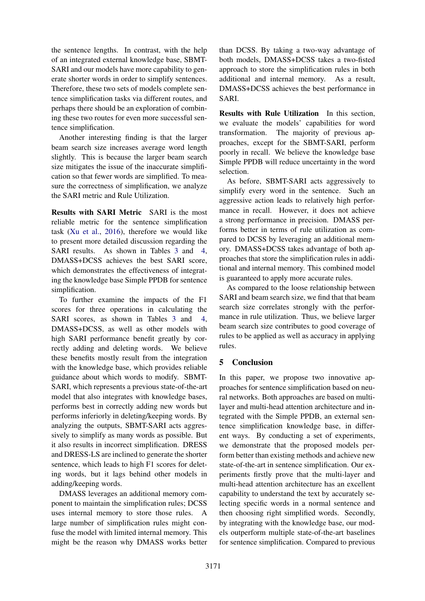the sentence lengths. In contrast, with the help of an integrated external knowledge base, SBMT-SARI and our models have more capability to generate shorter words in order to simplify sentences. Therefore, these two sets of models complete sentence simplification tasks via different routes, and perhaps there should be an exploration of combining these two routes for even more successful sentence simplification.

Another interesting finding is that the larger beam search size increases average word length slightly. This is because the larger beam search size mitigates the issue of the inaccurate simplification so that fewer words are simplified. To measure the correctness of simplification, we analyze the SARI metric and Rule Utilization.

Results with SARI Metric SARI is the most reliable metric for the sentence simplification task [\(Xu et al.,](#page-9-4) [2016\)](#page-9-4), therefore we would like to present more detailed discussion regarding the SARI results. As shown in Tables [3](#page-6-1) and [4,](#page-6-2) DMASS+DCSS achieves the best SARI score, which demonstrates the effectiveness of integrating the knowledge base Simple PPDB for sentence simplification.

To further examine the impacts of the F1 scores for three operations in calculating the SARI scores, as shown in Tables [3](#page-6-1) and [4,](#page-6-2) DMASS+DCSS, as well as other models with high SARI performance benefit greatly by correctly adding and deleting words. We believe these benefits mostly result from the integration with the knowledge base, which provides reliable guidance about which words to modify. SBMT-SARI, which represents a previous state-of-the-art model that also integrates with knowledge bases, performs best in correctly adding new words but performs inferiorly in deleting/keeping words. By analyzing the outputs, SBMT-SARI acts aggressively to simplify as many words as possible. But it also results in incorrect simplification. DRESS and DRESS-LS are inclined to generate the shorter sentence, which leads to high F1 scores for deleting words, but it lags behind other models in adding/keeping words.

DMASS leverages an additional memory component to maintain the simplification rules; DCSS uses internal memory to store those rules. A large number of simplification rules might confuse the model with limited internal memory. This might be the reason why DMASS works better

than DCSS. By taking a two-way advantage of both models, DMASS+DCSS takes a two-fisted approach to store the simplification rules in both additional and internal memory. As a result, DMASS+DCSS achieves the best performance in SARI.

Results with Rule Utilization In this section, we evaluate the models' capabilities for word transformation. The majority of previous approaches, except for the SBMT-SARI, perform poorly in recall. We believe the knowledge base Simple PPDB will reduce uncertainty in the word selection.

As before, SBMT-SARI acts aggressively to simplify every word in the sentence. Such an aggressive action leads to relatively high performance in recall. However, it does not achieve a strong performance in precision. DMASS performs better in terms of rule utilization as compared to DCSS by leveraging an additional memory. DMASS+DCSS takes advantage of both approaches that store the simplification rules in additional and internal memory. This combined model is guaranteed to apply more accurate rules.

As compared to the loose relationship between SARI and beam search size, we find that that beam search size correlates strongly with the performance in rule utilization. Thus, we believe larger beam search size contributes to good coverage of rules to be applied as well as accuracy in applying rules.

# 5 Conclusion

In this paper, we propose two innovative approaches for sentence simplification based on neural networks. Both approaches are based on multilayer and multi-head attention architecture and integrated with the Simple PPDB, an external sentence simplification knowledge base, in different ways. By conducting a set of experiments, we demonstrate that the proposed models perform better than existing methods and achieve new state-of-the-art in sentence simplification. Our experiments firstly prove that the multi-layer and multi-head attention architecture has an excellent capability to understand the text by accurately selecting specific words in a normal sentence and then choosing right simplified words. Secondly, by integrating with the knowledge base, our models outperform multiple state-of-the-art baselines for sentence simplification. Compared to previous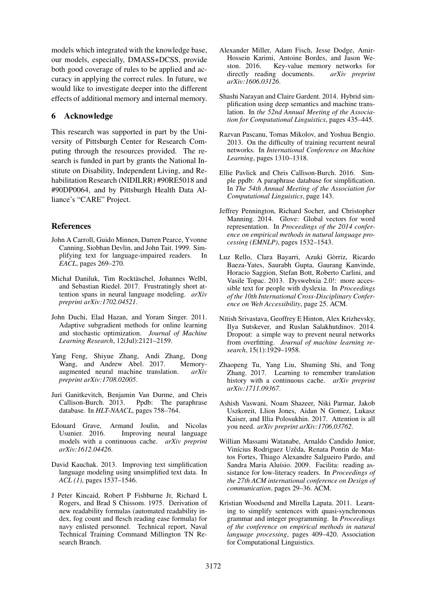models which integrated with the knowledge base, our models, especially, DMASS+DCSS, provide both good coverage of rules to be applied and accuracy in applying the correct rules. In future, we would like to investigate deeper into the different effects of additional memory and internal memory.

# 6 Acknowledge

This research was supported in part by the University of Pittsburgh Center for Research Computing through the resources provided. The research is funded in part by grants the National Institute on Disability, Independent Living, and Rehabilitation Research (NIDILRR) #90RE5018 and #90DP0064, and by Pittsburgh Health Data Alliance's "CARE" Project.

# References

- <span id="page-8-2"></span>John A Carroll, Guido Minnen, Darren Pearce, Yvonne Canning, Siobhan Devlin, and John Tait. 1999. Simplifying text for language-impaired readers. In *EACL*, pages 269–270.
- <span id="page-8-7"></span>Michał Daniluk, Tim Rocktäschel, Johannes Welbl, and Sebastian Riedel. 2017. Frustratingly short attention spans in neural language modeling. *arXiv preprint arXiv:1702.04521*.
- <span id="page-8-17"></span>John Duchi, Elad Hazan, and Yoram Singer. 2011. Adaptive subgradient methods for online learning and stochastic optimization. *Journal of Machine Learning Research*, 12(Jul):2121–2159.
- <span id="page-8-3"></span>Yang Feng, Shiyue Zhang, Andi Zhang, Dong Wang, and Andrew Abel. 2017. Memoryaugmented neural machine translation. *arXiv preprint arXiv:1708.02005*.
- <span id="page-8-12"></span>Juri Ganitkevitch, Benjamin Van Durme, and Chris Ppdb: The paraphrase database. In *HLT-NAACL*, pages 758–764.
- <span id="page-8-8"></span>Edouard Grave, Armand Joulin, and Nicolas Usunier. 2016. Improving neural language models with a continuous cache. *arXiv preprint arXiv:1612.04426*.
- <span id="page-8-13"></span>David Kauchak. 2013. Improving text simplification language modeling using unsimplified text data. In *ACL (1)*, pages 1537–1546.
- <span id="page-8-14"></span>J Peter Kincaid, Robert P Fishburne Jr, Richard L Rogers, and Brad S Chissom. 1975. Derivation of new readability formulas (automated readability index, fog count and flesch reading ease formula) for navy enlisted personnel. Technical report, Naval Technical Training Command Millington TN Research Branch.
- <span id="page-8-9"></span>Alexander Miller, Adam Fisch, Jesse Dodge, Amir-Hossein Karimi, Antoine Bordes, and Jason Weston. 2016. Key-value memory networks for directly reading documents. *arXiv preprint arXiv:1606.03126*.
- <span id="page-8-6"></span>Shashi Narayan and Claire Gardent. 2014. Hybrid simplification using deep semantics and machine translation. In *the 52nd Annual Meeting of the Association for Computational Linguistics*, pages 435–445.
- <span id="page-8-18"></span>Razvan Pascanu, Tomas Mikolov, and Yoshua Bengio. 2013. On the difficulty of training recurrent neural networks. In *International Conference on Machine Learning*, pages 1310–1318.
- <span id="page-8-11"></span>Ellie Pavlick and Chris Callison-Burch. 2016. Simple ppdb: A paraphrase database for simplification. In *The 54th Annual Meeting of the Association for Computational Linguistics*, page 143.
- <span id="page-8-15"></span>Jeffrey Pennington, Richard Socher, and Christopher Manning. 2014. Glove: Global vectors for word representation. In *Proceedings of the 2014 conference on empirical methods in natural language processing (EMNLP)*, pages 1532–1543.
- <span id="page-8-1"></span>Luz Rello, Clara Bayarri, Azuki Gòrriz, Ricardo Baeza-Yates, Saurabh Gupta, Gaurang Kanvinde, Horacio Saggion, Stefan Bott, Roberto Carlini, and Vasile Topac. 2013. Dyswebxia 2.0!: more accessible text for people with dyslexia. In *Proceedings of the 10th International Cross-Disciplinary Conference on Web Accessibility*, page 25. ACM.
- <span id="page-8-16"></span>Nitish Srivastava, Geoffrey E Hinton, Alex Krizhevsky, Ilya Sutskever, and Ruslan Salakhutdinov. 2014. Dropout: a simple way to prevent neural networks from overfitting. *Journal of machine learning research*, 15(1):1929–1958.
- <span id="page-8-10"></span>Zhaopeng Tu, Yang Liu, Shuming Shi, and Tong Zhang. 2017. Learning to remember translation history with a continuous cache. *arXiv preprint arXiv:1711.09367*.
- <span id="page-8-4"></span>Ashish Vaswani, Noam Shazeer, Niki Parmar, Jakob Uszkoreit, Llion Jones, Aidan N Gomez, Lukasz Kaiser, and Illia Polosukhin. 2017. Attention is all you need. *arXiv preprint arXiv:1706.03762*.
- <span id="page-8-0"></span>Willian Massami Watanabe, Arnaldo Candido Junior, Vinícius Rodriguez Uzêda, Renata Pontin de Mattos Fortes, Thiago Alexandre Salgueiro Pardo, and Sandra Maria Aluísio. 2009. Facilita: reading assistance for low-literacy readers. In *Proceedings of the 27th ACM international conference on Design of communication*, pages 29–36. ACM.
- <span id="page-8-5"></span>Kristian Woodsend and Mirella Lapata. 2011. Learning to simplify sentences with quasi-synchronous grammar and integer programming. In *Proceedings of the conference on empirical methods in natural language processing*, pages 409–420. Association for Computational Linguistics.